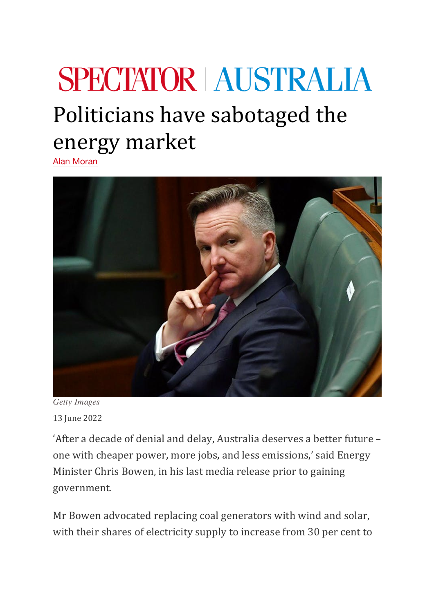## **SPECTATOR | AUSTRALIA** Politicians have sabotaged the energy market

Alan Moran



*Getty Images* 13 June 2022

'After a decade of denial and delay, Australia deserves a better future one with cheaper power, more jobs, and less emissions,' said Energy Minister Chris Bowen, in his last media release prior to gaining government.

Mr Bowen advocated replacing coal generators with wind and solar, with their shares of electricity supply to increase from 30 per cent to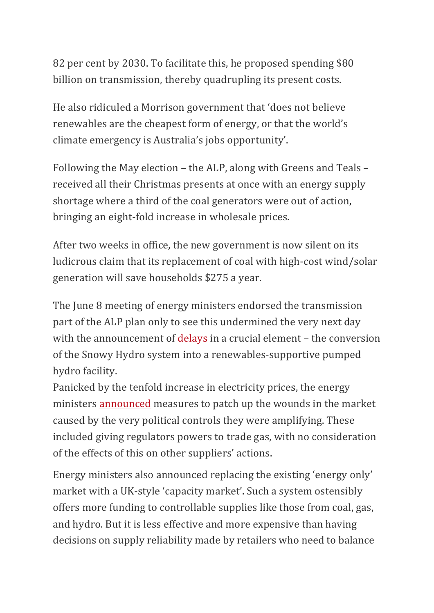82 per cent by 2030. To facilitate this, he proposed spending \$80 billion on transmission, thereby quadrupling its present costs.

He also ridiculed a Morrison government that 'does not believe renewables are the cheapest form of energy, or that the world's climate emergency is Australia's jobs opportunity'.

Following the May election – the ALP, along with Greens and Teals – received all their Christmas presents at once with an energy supply shortage where a third of the coal generators were out of action, bringing an eight-fold increase in wholesale prices.

After two weeks in office, the new government is now silent on its ludicrous claim that its replacement of coal with high-cost wind/solar generation will save households \$275 a year.

The June 8 meeting of energy ministers endorsed the transmission part of the ALP plan only to see this undermined the very next day with the announcement of delays in a crucial element – the conversion of the Snowy Hydro system into a renewables-supportive pumped hydro facility.

Panicked by the tenfold increase in electricity prices, the energy ministers announced measures to patch up the wounds in the market caused by the very political controls they were amplifying. These included giving regulators powers to trade gas, with no consideration of the effects of this on other suppliers' actions.

Energy ministers also announced replacing the existing 'energy only' market with a UK-style 'capacity market'. Such a system ostensibly offers more funding to controllable supplies like those from coal, gas, and hydro. But it is less effective and more expensive than having decisions on supply reliability made by retailers who need to balance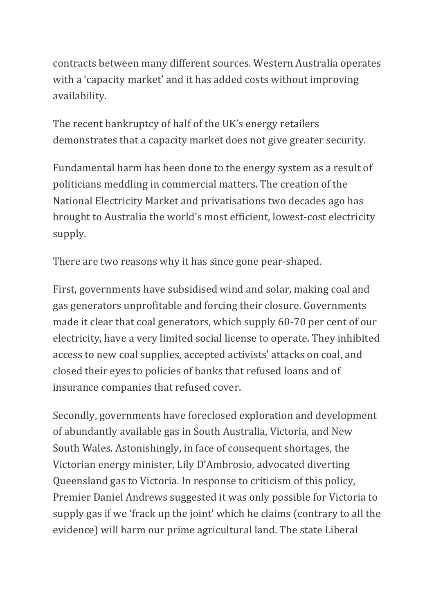contracts between many different sources. Western Australia operates with a 'capacity market' and it has added costs without improving availability.

The recent bankruptcy of half of the UK's energy retailers demonstrates that a capacity market does not give greater security.

Fundamental harm has been done to the energy system as a result of politicians meddling in commercial matters. The creation of the National Electricity Market and privatisations two decades ago has brought to Australia the world's most efficient, lowest-cost electricity supply.

There are two reasons why it has since gone pear-shaped.

First, governments have subsidised wind and solar, making coal and gas generators unprofitable and forcing their closure. Governments made it clear that coal generators, which supply 60-70 per cent of our electricity, have a very limited social license to operate. They inhibited access to new coal supplies, accepted activists' attacks on coal, and closed their eyes to policies of banks that refused loans and of insurance companies that refused cover.

Secondly, governments have foreclosed exploration and development of abundantly available gas in South Australia, Victoria, and New South Wales. Astonishingly, in face of consequent shortages, the Victorian energy minister, Lily D'Ambrosio, advocated diverting Queensland gas to Victoria. In response to criticism of this policy, Premier Daniel Andrews suggested it was only possible for Victoria to supply gas if we 'frack up the joint' which he claims (contrary to all the evidence) will harm our prime agricultural land. The state Liberal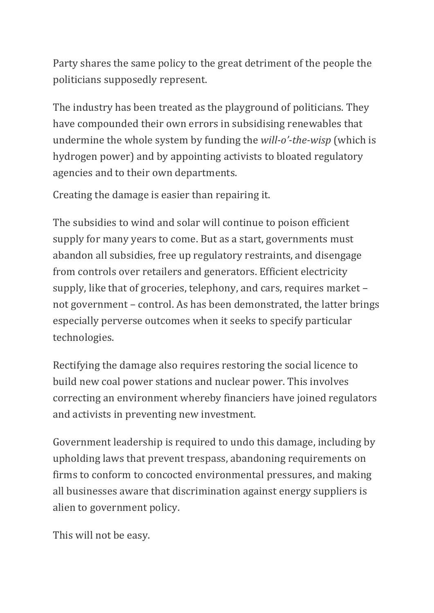Party shares the same policy to the great detriment of the people the politicians supposedly represent.

The industry has been treated as the playground of politicians. They have compounded their own errors in subsidising renewables that undermine the whole system by funding the *will-o'-the-wisp* (which is hydrogen power) and by appointing activists to bloated regulatory agencies and to their own departments.

Creating the damage is easier than repairing it.

The subsidies to wind and solar will continue to poison efficient supply for many years to come. But as a start, governments must abandon all subsidies, free up regulatory restraints, and disengage from controls over retailers and generators. Efficient electricity supply, like that of groceries, telephony, and cars, requires market – not government – control. As has been demonstrated, the latter brings especially perverse outcomes when it seeks to specify particular technologies.

Rectifying the damage also requires restoring the social licence to build new coal power stations and nuclear power. This involves correcting an environment whereby financiers have joined regulators and activists in preventing new investment.

Government leadership is required to undo this damage, including by upholding laws that prevent trespass, abandoning requirements on firms to conform to concocted environmental pressures, and making all businesses aware that discrimination against energy suppliers is alien to government policy.

This will not be easy.